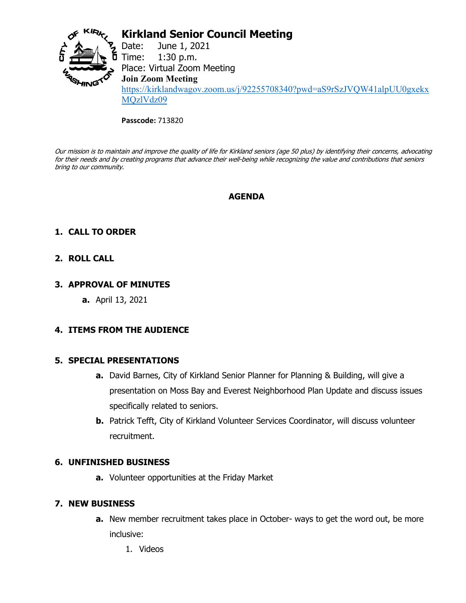

# **Kirkland Senior Council Meeting**

Date: June 1, 2021<br>Time: 1:30 p.m.  $1:30$  p.m. Place: Virtual Zoom Meeting **Join Zoom Meeting** [https://kirklandwagov.zoom.us/j/92255708340?pwd=aS9rSzJVQW41alpUU0gxekx](https://kirklandwagov.zoom.us/j/92255708340?pwd=aS9rSzJVQW41alpUU0gxekxMQzlVdz09) [MQzlVdz09](https://kirklandwagov.zoom.us/j/92255708340?pwd=aS9rSzJVQW41alpUU0gxekxMQzlVdz09)

**Passcode:** 713820

Our mission is to maintain and improve the quality of life for Kirkland seniors (age 50 plus) by identifying their concerns, advocating for their needs and by creating programs that advance their well-being while recognizing the value and contributions that seniors bring to our community.

## **AGENDA**

## **1. CALL TO ORDER**

## **2. ROLL CALL**

## **3. APPROVAL OF MINUTES**

**a.** April 13, 2021

## **4. ITEMS FROM THE AUDIENCE**

#### **5. SPECIAL PRESENTATIONS**

- **a.** David Barnes, City of Kirkland Senior Planner for Planning & Building, will give a presentation on Moss Bay and Everest Neighborhood Plan Update and discuss issues specifically related to seniors.
- **b.** Patrick Tefft, City of Kirkland Volunteer Services Coordinator, will discuss volunteer recruitment.

#### **6. UNFINISHED BUSINESS**

**a.** Volunteer opportunities at the Friday Market

## **7. NEW BUSINESS**

- **a.** New member recruitment takes place in October- ways to get the word out, be more inclusive:
	- 1. Videos